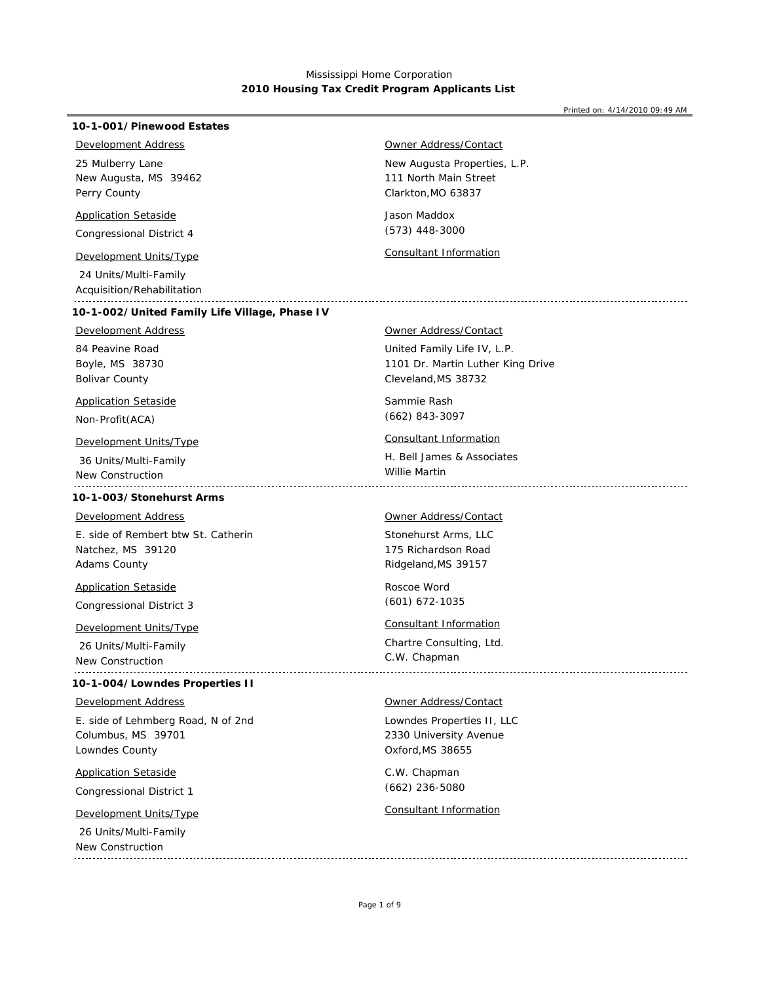#### Printed on: 4/14/2010 09:49 AM

## **10-1-001/Pinewood Estates**

## *Development Address*

New Augusta, MS 39462 Perry County 25 Mulberry Lane

### *Application Setaside*

Congressional District 4

 24 Units/Multi-Family Acquisition/Rehabilitation

### **10-1-002/United Family Life Village, Phase IV**

## *Development Address*

Boyle, MS 38730 Bolivar County 84 Peavine Road

## *Application Setaside*

Non-Profit(ACA)

## *Development Units/Type Consultant Information*

 36 Units/Multi-Family New Construction

## **10-1-003/Stonehurst Arms**

### *Development Address*

Natchez, MS 39120 Adams County E. side of Rembert btw St. Catherin

## *Application Setaside*

Congressional District 3

## *Development Units/Type Consultant Information*

 26 Units/Multi-Family New Construction 

### **10-1-004/Lowndes Properties II**

### *Development Address*

Columbus, MS 39701 Lowndes County E. side of Lehmberg Road, N of 2nd

## *Application Setaside*

Congressional District 1

 26 Units/Multi-Family New Construction

## *Owner Address/Contact*

New Augusta Properties, L.P. Clarkton,MO 63837 111 North Main Street

Jason Maddox (573) 448-3000

*Development Units/Type Consultant Information*

## *Owner Address/Contact*

United Family Life IV, L.P. Cleveland,MS 38732 1101 Dr. Martin Luther King Drive

Sammie Rash (662) 843-3097

H. Bell James & Associates Willie Martin 

#### *Owner Address/Contact*

Stonehurst Arms, LLC Ridgeland,MS 39157 175 Richardson Road

Roscoe Word (601) 672-1035

Chartre Consulting, Ltd. C.W. Chapman

### *Owner Address/Contact*

Lowndes Properties II, LLC Oxford,MS 38655 2330 University Avenue

C.W. Chapman (662) 236-5080

# *Development Units/Type Consultant Information*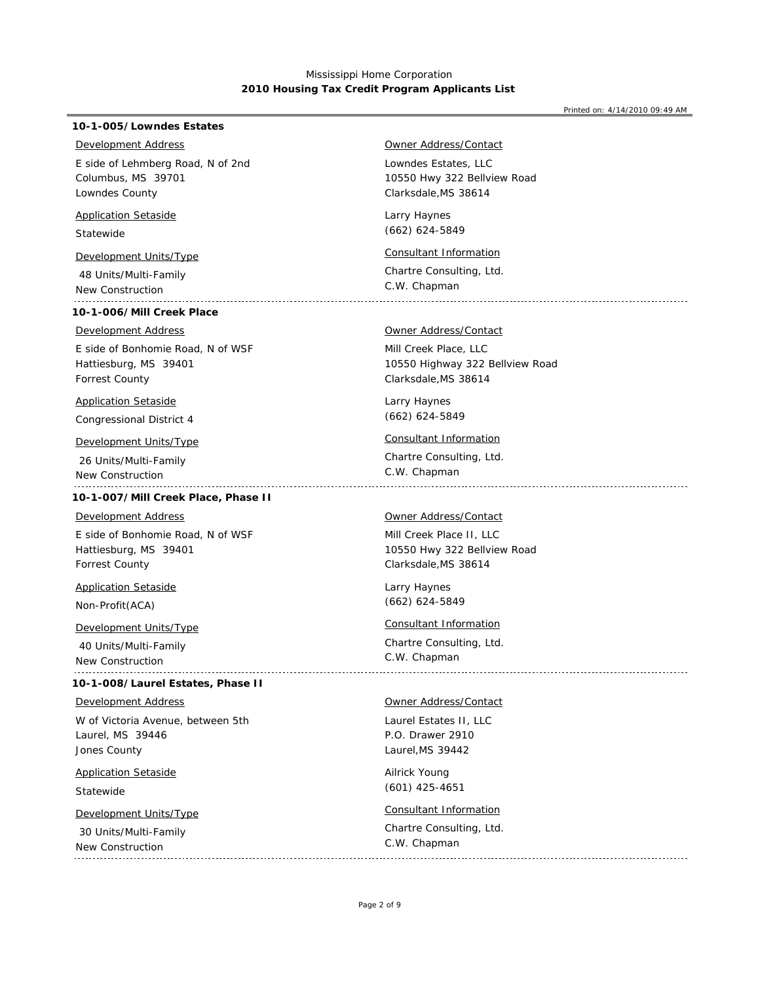### Printed on: 4/14/2010 09:49 AM

## **10-1-005/Lowndes Estates**

## *Development Address*

Columbus, MS 39701 Lowndes County E side of Lehmberg Road, N of 2nd

## *Application Setaside*

Statewide

# *Development Units/Type Consultant Information*

 48 Units/Multi-Family New Construction

## **10-1-006/Mill Creek Place**

### *Development Address*

Hattiesburg, MS 39401 Forrest County E side of Bonhomie Road, N of WSF

## *Application Setaside*

Congressional District 4

## *Development Units/Type Consultant Information*

 26 Units/Multi-Family New Construction 

### **10-1-007/Mill Creek Place, Phase II**

### *Development Address*

Hattiesburg, MS 39401 Forrest County E side of Bonhomie Road, N of WSF

*Application Setaside*

## Non-Profit(ACA)

*Development Units/Type Consultant Information*

 40 Units/Multi-Family New Construction 

### **10-1-008/Laurel Estates, Phase II**

#### *Development Address*

Laurel, MS 39446 Jones County W of Victoria Avenue, between 5th

## *Application Setaside*

Statewide

 30 Units/Multi-Family New Construction

## *Owner Address/Contact*

Lowndes Estates, LLC Clarksdale,MS 38614 10550 Hwy 322 Bellview Road

Larry Haynes (662) 624-5849

Chartre Consulting, Ltd. C.W. Chapman

## *Owner Address/Contact*

Mill Creek Place, LLC Clarksdale,MS 38614 10550 Highway 322 Bellview Road

Larry Haynes (662) 624-5849

Chartre Consulting, Ltd. C.W. Chapman

### *Owner Address/Contact*

Mill Creek Place II, LLC Clarksdale,MS 38614 10550 Hwy 322 Bellview Road

Larry Haynes (662) 624-5849

Chartre Consulting, Ltd. C.W. Chapman

#### *Owner Address/Contact*

Laurel Estates II, LLC Laurel,MS 39442 P.O. Drawer 2910

Ailrick Young (601) 425-4651

## *Development Units/Type Consultant Information*

Chartre Consulting, Ltd. C.W. Chapman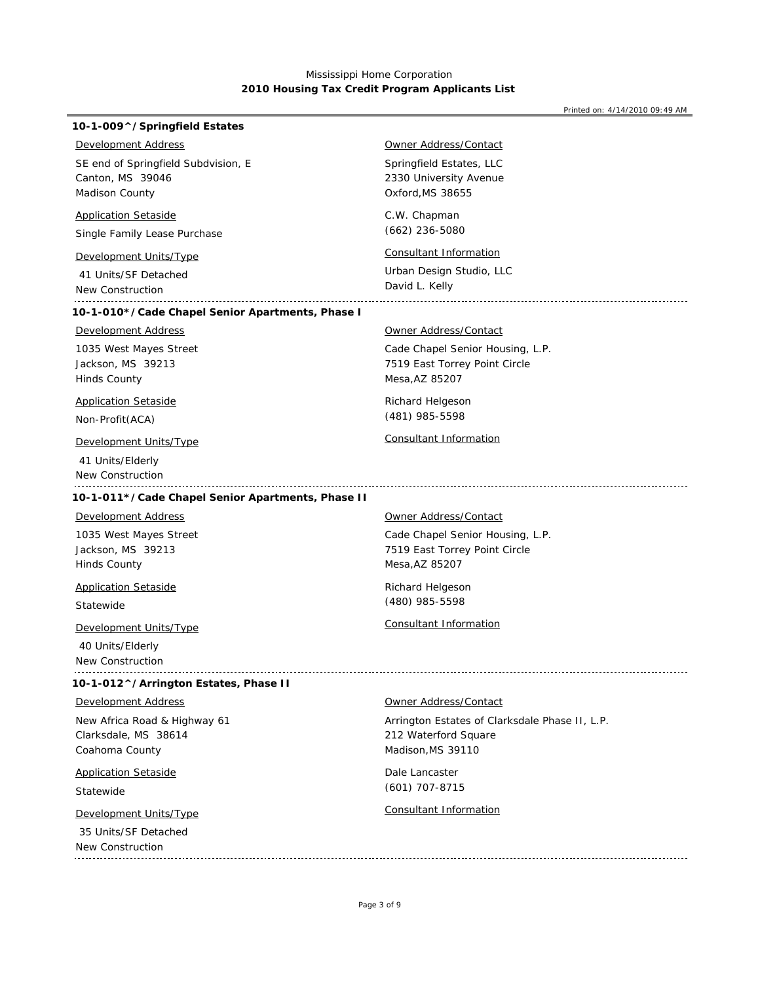| 10-1-009^/Springfield Estates                     |                                                |
|---------------------------------------------------|------------------------------------------------|
| <b>Development Address</b>                        | <u> Owner Address/Contact</u>                  |
| SE end of Springfield Subdvision, E               | Springfield Estates, LLC                       |
| Canton, MS 39046                                  | 2330 University Avenue                         |
| Madison County                                    | Oxford, MS 38655                               |
| <b>Application Setaside</b>                       | C.W. Chapman                                   |
| Single Family Lease Purchase                      | $(662)$ 236-5080                               |
| Development Units/Type                            | Consultant Information                         |
| 41 Units/SF Detached                              | Urban Design Studio, LLC                       |
| New Construction                                  | David L. Kelly                                 |
| 10-1-010*/Cade Chapel Senior Apartments, Phase I  |                                                |
| <b>Development Address</b>                        | <b>Owner Address/Contact</b>                   |
| 1035 West Mayes Street                            | Cade Chapel Senior Housing, L.P.               |
| Jackson, MS 39213                                 | 7519 East Torrey Point Circle                  |
| <b>Hinds County</b>                               | Mesa, AZ 85207                                 |
| <b>Application Setaside</b>                       | Richard Helgeson                               |
| Non-Profit (ACA)                                  | (481) 985-5598                                 |
| <b>Development Units/Type</b>                     | Consultant Information                         |
| 41 Units/Elderly                                  |                                                |
| New Construction                                  |                                                |
| 10-1-011*/Cade Chapel Senior Apartments, Phase II |                                                |
| Development Address                               | Owner Address/Contact                          |
| 1035 West Mayes Street                            | Cade Chapel Senior Housing, L.P.               |
| Jackson, MS 39213                                 | 7519 East Torrey Point Circle                  |
| Hinds County                                      | Mesa, AZ 85207                                 |
| <b>Application Setaside</b>                       | Richard Helgeson                               |
| Statewide                                         | (480) 985-5598                                 |
| Development Units/Type                            | Consultant Information                         |
| 40 Units/Elderly                                  |                                                |
| New Construction                                  |                                                |
| 10-1-012^/Arrington Estates, Phase II             |                                                |
| <b>Development Address</b>                        | <b>Owner Address/Contact</b>                   |
| New Africa Road & Highway 61                      | Arrington Estates of Clarksdale Phase II, L.P. |
| Clarksdale, MS 38614                              | 212 Waterford Square                           |
| Coahoma County                                    | Madison, MS 39110                              |
| <b>Application Setaside</b>                       | Dale Lancaster                                 |
| Statewide                                         | $(601)$ 707-8715                               |
| <b>Development Units/Type</b>                     | <b>Consultant Information</b>                  |
| 35 Units/SF Detached                              |                                                |
|                                                   |                                                |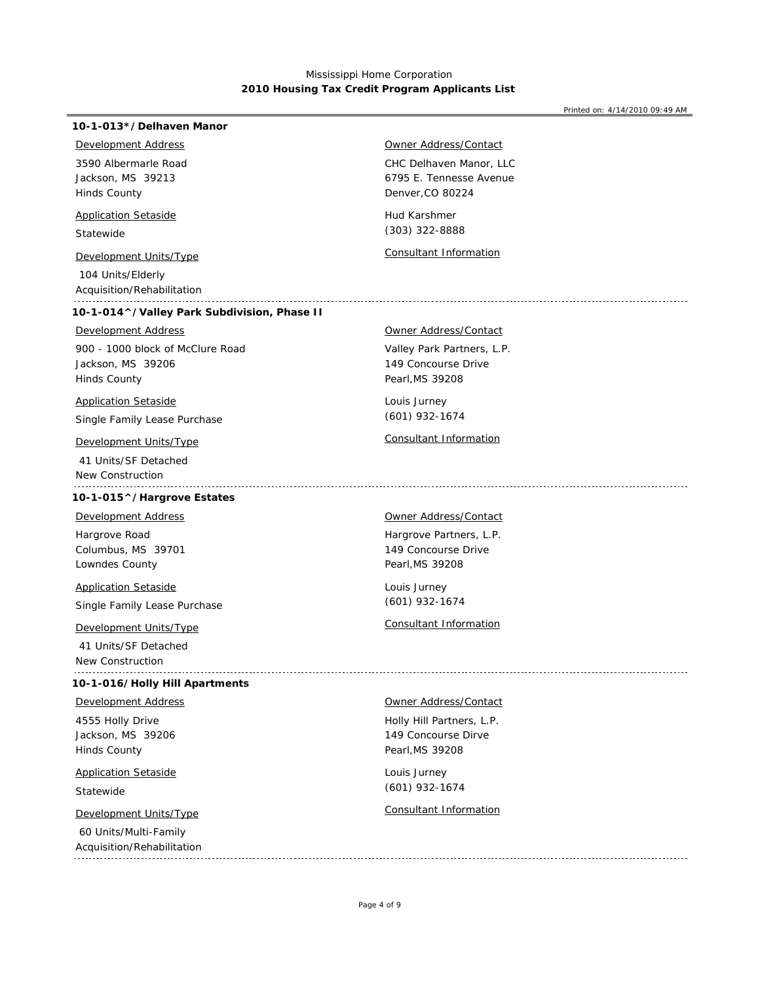### **10-1-013\*/Delhaven Manor**

## *Development Address*

Jackson, MS 39213 Hinds County 3590 Albermarle Road

### *Application Setaside*

Statewide

# *Development Units/Type Consultant Information*

 104 Units/Elderly Acquisition/Rehabilitation

## **10-1-014^/Valley Park Subdivision, Phase II**

## *Development Address*

Jackson, MS 39206 Hinds County 900 - 1000 block of McClure Road

## *Application Setaside*

Single Family Lease Purchase

 41 Units/SF Detached New Construction 

## **10-1-015^/Hargrove Estates**

*Development Address*

Columbus, MS 39701 Lowndes County Hargrove Road

## *Application Setaside*

Single Family Lease Purchase

 41 Units/SF Detached New Construction 

### **10-1-016/Holly Hill Apartments**

## *Development Address*

Jackson, MS 39206 Hinds County 4555 Holly Drive

## *Application Setaside*

Statewide

 60 Units/Multi-Family Acquisition/Rehabilitation

## *Owner Address/Contact*

CHC Delhaven Manor, LLC Denver,CO 80224 6795 E. Tennesse Avenue

Hud Karshmer (303) 322-8888

#### *Owner Address/Contact*

Valley Park Partners, L.P. Pearl,MS 39208 149 Concourse Drive

Louis Jurney (601) 932-1674

## *Development Units/Type Consultant Information*

*Owner Address/Contact*

Hargrove Partners, L.P. Pearl,MS 39208 149 Concourse Drive

Louis Jurney (601) 932-1674

## *Development Units/Type Consultant Information*

*Owner Address/Contact*

Holly Hill Partners, L.P. Pearl,MS 39208 149 Concourse Dirve

Louis Jurney (601) 932-1674

## *Development Units/Type Consultant Information*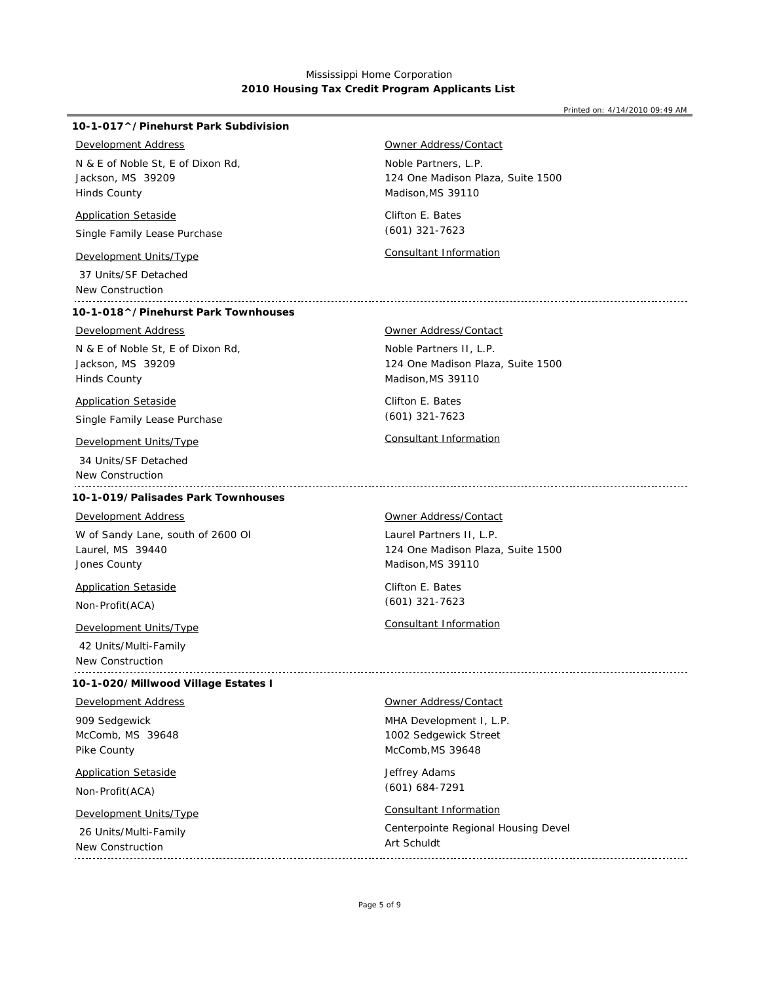Printed on: 4/14/2010 09:49 AM

## **10-1-017^/Pinehurst Park Subdivision**

## *Development Address*

Jackson, MS 39209 Hinds County N & E of Noble St, E of Dixon Rd,

### *Application Setaside*

Single Family Lease Purchase

 37 Units/SF Detached New Construction

## **10-1-018^/Pinehurst Park Townhouses**

## *Development Address*

Jackson, MS 39209 Hinds County N & E of Noble St, E of Dixon Rd,

### *Application Setaside*

Single Family Lease Purchase

 34 Units/SF Detached New Construction 

## **10-1-019/Palisades Park Townhouses**

## *Development Address*

Laurel, MS 39440 Jones County W of Sandy Lane, south of 2600 Ol

*Application Setaside*

Non-Profit(ACA)

## *Development Units/Type Consultant Information*

 42 Units/Multi-Family New Construction

### **10-1-020/Millwood Village Estates I**

*Development Address*

McComb, MS 39648 Pike County 909 Sedgewick

## *Application Setaside*

Non-Profit(ACA)

## *Development Units/Type Consultant Information*

 26 Units/Multi-Family New Construction

Noble Partners, L.P. 124 One Madison Plaza, Suite 1500 *Owner Address/Contact*

Clifton E. Bates Madison,MS 39110 (601) 321-7623

*Development Units/Type Consultant Information*

### *Owner Address/Contact*

Noble Partners II, L.P. Madison,MS 39110 124 One Madison Plaza, Suite 1500

Clifton E. Bates (601) 321-7623

## *Development Units/Type Consultant Information*

#### *Owner Address/Contact*

Laurel Partners II, L.P. Madison,MS 39110 124 One Madison Plaza, Suite 1500

Clifton E. Bates (601) 321-7623

*Owner Address/Contact*

MHA Development I, L.P. McComb,MS 39648 1002 Sedgewick Street

Jeffrey Adams (601) 684-7291

Centerpointe Regional Housing Devel Art Schuldt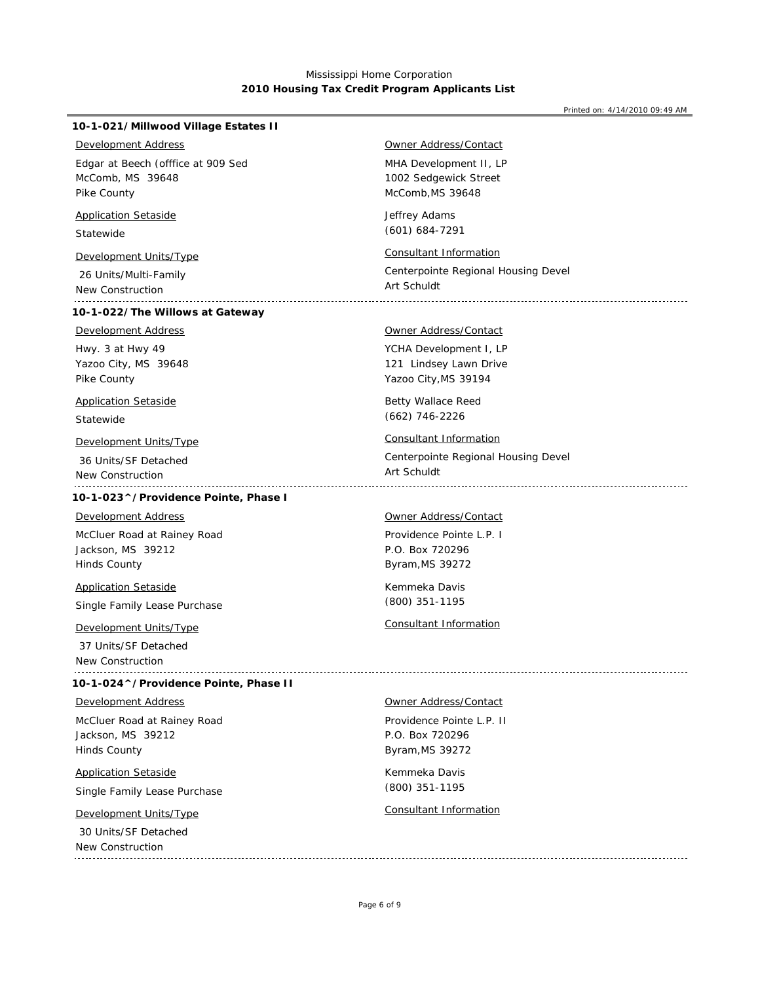| <b>Development Address</b><br><b>Owner Address/Contact</b><br>MHA Development II, LP<br>Edgar at Beech (offfice at 909 Sed<br>McComb, MS 39648<br>1002 Sedgewick Street<br>Pike County<br>McComb, MS 39648<br><b>Application Setaside</b><br>Jeffrey Adams<br>$(601) 684 - 7291$<br>Statewide<br><b>Consultant Information</b><br><b>Development Units/Type</b><br>26 Units/Multi-Family<br>Art Schuldt<br>New Construction<br>10-1-022/The Willows at Gateway<br><b>Development Address</b><br><b>Owner Address/Contact</b><br>Hwy. 3 at Hwy 49<br>YCHA Development I, LP<br>Yazoo City, MS 39648<br>121 Lindsey Lawn Drive | Centerpointe Regional Housing Devel |
|------------------------------------------------------------------------------------------------------------------------------------------------------------------------------------------------------------------------------------------------------------------------------------------------------------------------------------------------------------------------------------------------------------------------------------------------------------------------------------------------------------------------------------------------------------------------------------------------------------------------------|-------------------------------------|
|                                                                                                                                                                                                                                                                                                                                                                                                                                                                                                                                                                                                                              |                                     |
|                                                                                                                                                                                                                                                                                                                                                                                                                                                                                                                                                                                                                              |                                     |
|                                                                                                                                                                                                                                                                                                                                                                                                                                                                                                                                                                                                                              |                                     |
|                                                                                                                                                                                                                                                                                                                                                                                                                                                                                                                                                                                                                              |                                     |
| Pike County<br>Yazoo City, MS 39194                                                                                                                                                                                                                                                                                                                                                                                                                                                                                                                                                                                          |                                     |
| <b>Application Setaside</b><br><b>Betty Wallace Reed</b><br>$(662)$ 746-2226                                                                                                                                                                                                                                                                                                                                                                                                                                                                                                                                                 |                                     |
| Statewide<br>Consultant Information<br>Development Units/Type<br>36 Units/SF Detached<br>Art Schuldt<br>New Construction                                                                                                                                                                                                                                                                                                                                                                                                                                                                                                     | Centerpointe Regional Housing Devel |
| 10-1-023^/Providence Pointe, Phase I                                                                                                                                                                                                                                                                                                                                                                                                                                                                                                                                                                                         |                                     |
| <b>Owner Address/Contact</b><br>Development Address<br>Providence Pointe L.P. I<br>McCluer Road at Rainey Road<br>Jackson, MS 39212<br>P.O. Box 720296<br><b>Hinds County</b><br>Byram, MS 39272                                                                                                                                                                                                                                                                                                                                                                                                                             |                                     |
| Kemmeka Davis<br><b>Application Setaside</b><br>(800) 351-1195<br>Single Family Lease Purchase                                                                                                                                                                                                                                                                                                                                                                                                                                                                                                                               |                                     |
| <b>Consultant Information</b><br><b>Development Units/Type</b><br>37 Units/SF Detached<br>New Construction                                                                                                                                                                                                                                                                                                                                                                                                                                                                                                                   |                                     |
| 10-1-024^/Providence Pointe, Phase II                                                                                                                                                                                                                                                                                                                                                                                                                                                                                                                                                                                        |                                     |
| <b>Development Address</b><br><b>Owner Address/Contact</b><br>McCluer Road at Rainey Road<br>Providence Pointe L.P. II<br>Jackson, MS 39212<br>P.O. Box 720296<br><b>Hinds County</b><br>Byram, MS 39272                                                                                                                                                                                                                                                                                                                                                                                                                     |                                     |
| Kemmeka Davis<br><b>Application Setaside</b><br>(800) 351-1195<br>Single Family Lease Purchase                                                                                                                                                                                                                                                                                                                                                                                                                                                                                                                               |                                     |
| <b>Consultant Information</b><br>Development Units/Type<br>30 Units/SF Detached<br>New Construction                                                                                                                                                                                                                                                                                                                                                                                                                                                                                                                          |                                     |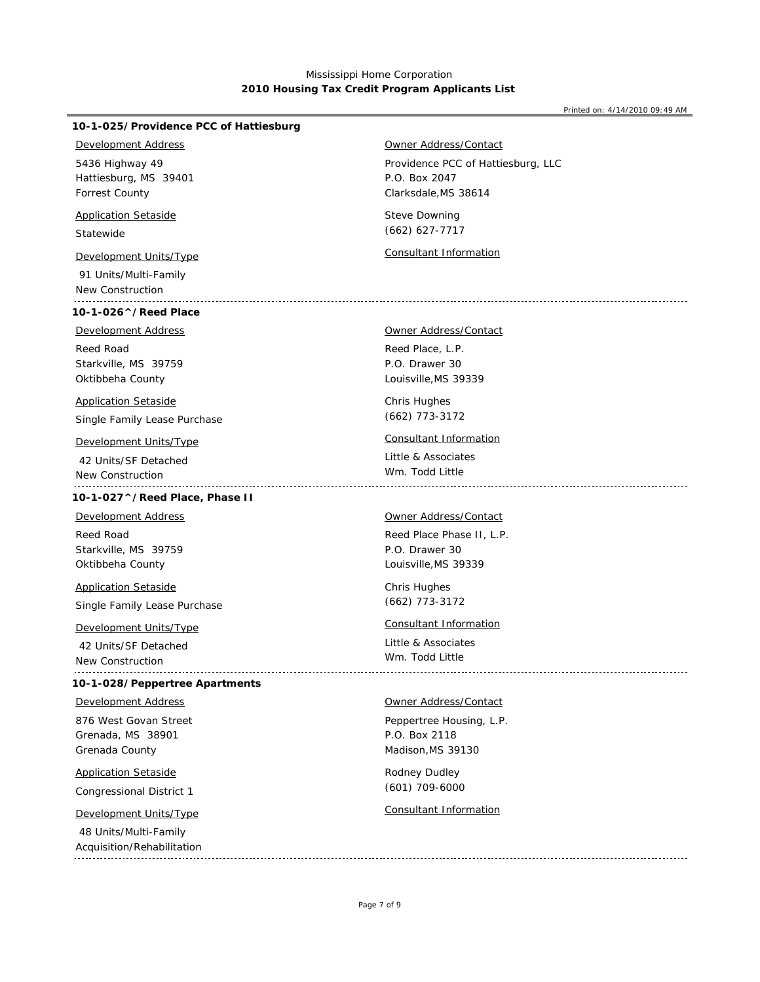Printed on: 4/14/2010 09:49 AM

## **10-1-025/Providence PCC of Hattiesburg**

### *Development Address*

Hattiesburg, MS 39401 Forrest County 5436 Highway 49

## *Application Setaside*

Statewide

 91 Units/Multi-Family New Construction

## **10-1-026^/Reed Place**

Reed Road *Development Address*

Starkville, MS 39759 Oktibbeha County

## *Application Setaside*

Single Family Lease Purchase

 42 Units/SF Detached New Construction

## **10-1-027^/Reed Place, Phase II**

Reed Road *Development Address*

Starkville, MS 39759 Oktibbeha County

# *Application Setaside*

Single Family Lease Purchase

 42 Units/SF Detached New Construction 

### **10-1-028/Peppertree Apartments**

*Development Address*

Grenada, MS 38901 Grenada County 876 West Govan Street

## *Application Setaside*

Congressional District 1

## *Development Units/Type Consultant Information*

 48 Units/Multi-Family Acquisition/Rehabilitation Providence PCC of Hattiesburg, LLC Clarksdale,MS 38614 P.O. Box 2047 *Owner Address/Contact*

Steve Downing (662) 627-7717

*Development Units/Type Consultant Information*

## Reed Place, L.P. P.O. Drawer 30 *Owner Address/Contact*

Louisville,MS 39339

Chris Hughes (662) 773-3172

## *Development Units/Type Consultant Information*

Little & Associates Wm. Todd Little 

#### *Owner Address/Contact*

Reed Place Phase II, L.P. Louisville,MS 39339 P.O. Drawer 30

Chris Hughes (662) 773-3172

## *Development Units/Type Consultant Information*

Little & Associates Wm. Todd Little

### *Owner Address/Contact*

Peppertree Housing, L.P. Madison,MS 39130 P.O. Box 2118

Rodney Dudley (601) 709-6000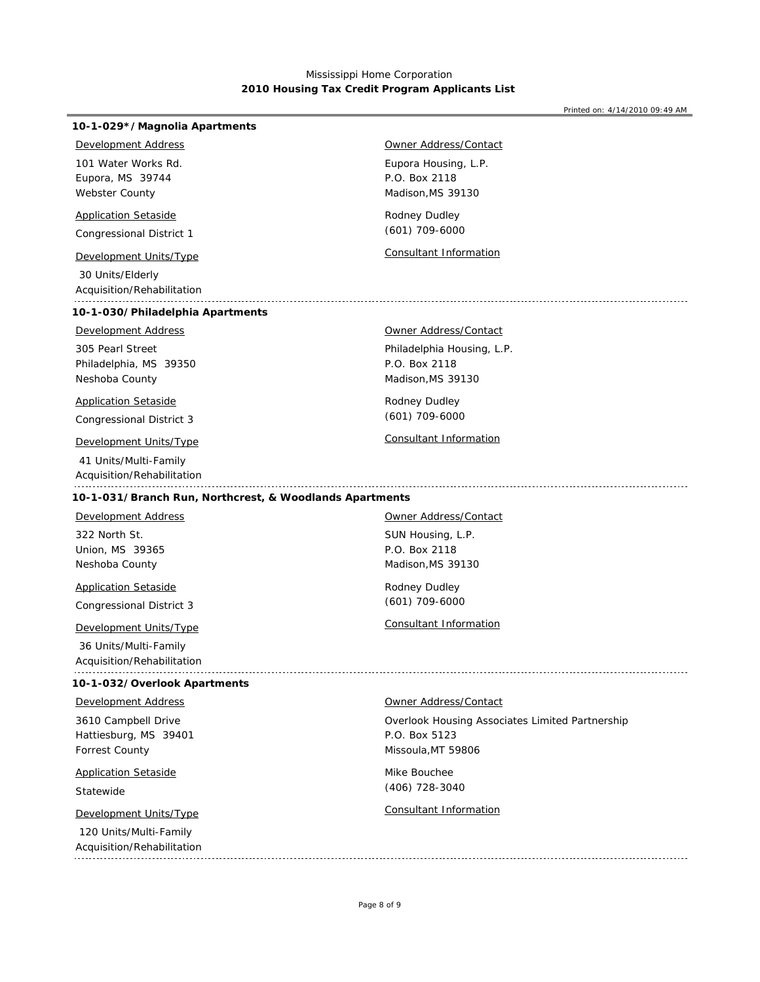Printed on: 4/14/2010 09:49 AM

# Eupora, MS 39744 Webster County Congressional District 1 30 Units/Elderly 101 Water Works Rd. *Development Address Application Setaside Development Units/Type Consultant Information*

Acquisition/Rehabilitation

## **10-1-030/Philadelphia Apartments**

**10-1-029\*/Magnolia Apartments**

## *Development Address*

Philadelphia, MS 39350 Neshoba County 305 Pearl Street

## *Application Setaside*

Congressional District 3

## *Development Units/Type Consultant Information*

 41 Units/Multi-Family Acquisition/Rehabilitation

## Eupora Housing, L.P. Madison,MS 39130 P.O. Box 2118 *Owner Address/Contact*

Rodney Dudley (601) 709-6000

#### *Owner Address/Contact*

Philadelphia Housing, L.P. Madison,MS 39130 P.O. Box 2118

Rodney Dudley (601) 709-6000

**10-1-031/Branch Run, Northcrest, & Woodlands Apartments**

Union, MS 39365 Neshoba County 322 North St. *Development Address*

Congressional District 3 *Application Setaside*

## *Development Units/Type Consultant Information*

 36 Units/Multi-Family Acquisition/Rehabilitation

#### **10-1-032/Overlook Apartments**

## *Development Address*

Hattiesburg, MS 39401 Forrest County 3610 Campbell Drive

# *Application Setaside*

Statewide

 120 Units/Multi-Family Acquisition/Rehabilitation SUN Housing, L.P. Madison,MS 39130 P.O. Box 2118 *Owner Address/Contact*

Rodney Dudley (601) 709-6000

*Owner Address/Contact*

Overlook Housing Associates Limited Partnership Missoula,MT 59806 P.O. Box 5123

Mike Bouchee (406) 728-3040

## *Development Units/Type Consultant Information*